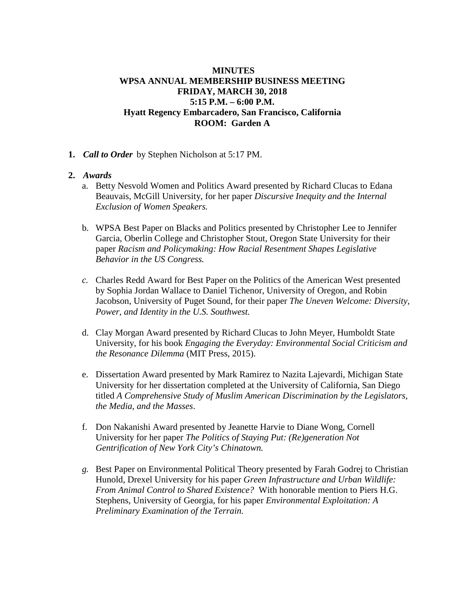# **MINUTES WPSA ANNUAL MEMBERSHIP BUSINESS MEETING FRIDAY, MARCH 30, 2018 5:15 P.M. – 6:00 P.M. Hyatt Regency Embarcadero, San Francisco, California ROOM: Garden A**

**1.** *Call to Order* by Stephen Nicholson at 5:17 PM.

## **2.** *Awards*

- a. Betty Nesvold Women and Politics Award presented by Richard Clucas to Edana Beauvais, McGill University, for her paper *Discursive Inequity and the Internal Exclusion of Women Speakers.*
- b. WPSA Best Paper on Blacks and Politics presented by Christopher Lee to Jennifer Garcia, Oberlin College and Christopher Stout, Oregon State University for their paper *Racism and Policymaking: How Racial Resentment Shapes Legislative Behavior in the US Congress.*
- *c.* Charles Redd Award for Best Paper on the Politics of the American West presented by Sophia Jordan Wallace to Daniel Tichenor, University of Oregon, and Robin Jacobson, University of Puget Sound, for their paper *The Uneven Welcome: Diversity, Power, and Identity in the U.S. Southwest.*
- d. Clay Morgan Award presented by Richard Clucas to John Meyer, Humboldt State University, for his book *Engaging the Everyday: Environmental Social Criticism and the Resonance Dilemma* (MIT Press, 2015).
- e. Dissertation Award presented by Mark Ramirez to Nazita Lajevardi, Michigan State University for her dissertation completed at the University of California, San Diego titled *A Comprehensive Study of Muslim American Discrimination by the Legislators, the Media, and the Masses*.
- f. Don Nakanishi Award presented by Jeanette Harvie to Diane Wong, Cornell University for her paper *The Politics of Staying Put: (Re)generation Not Gentrification of New York City's Chinatown.*
- *g.* Best Paper on Environmental Political Theory presented by Farah Godrej to Christian Hunold, Drexel University for his paper *Green Infrastructure and Urban Wildlife: From Animal Control to Shared Existence?* With honorable mention to Piers H.G. Stephens, University of Georgia, for his paper *Environmental Exploitation: A Preliminary Examination of the Terrain.*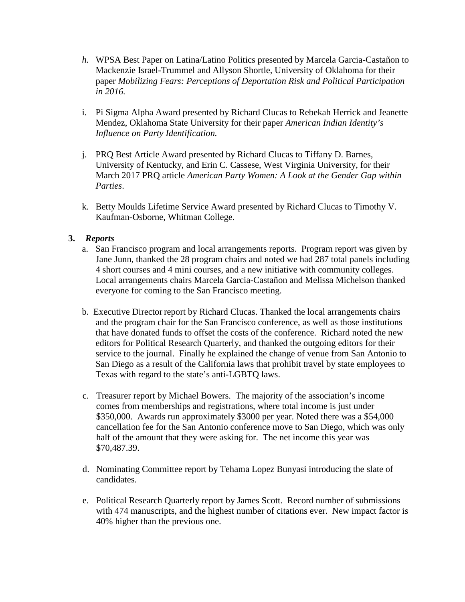- *h.* WPSA Best Paper on Latina/Latino Politics presented by Marcela Garcia-Castañon to Mackenzie Israel-Trummel and Allyson Shortle, University of Oklahoma for their paper *Mobilizing Fears: Perceptions of Deportation Risk and Political Participation in 2016.*
- i. Pi Sigma Alpha Award presented by Richard Clucas to Rebekah Herrick and Jeanette Mendez, Oklahoma State University for their paper *American Indian Identity's Influence on Party Identification.*
- j. PRQ Best Article Award presented by Richard Clucas to Tiffany D. Barnes, University of Kentucky, and Erin C. Cassese, West Virginia University, for their March 2017 PRQ article *American Party Women: A Look at the Gender Gap within Parties*.
- k. Betty Moulds Lifetime Service Award presented by Richard Clucas to Timothy V. Kaufman-Osborne, Whitman College.

## **3.** *Reports*

- a. San Francisco program and local arrangements reports. Program report was given by Jane Junn, thanked the 28 program chairs and noted we had 287 total panels including 4 short courses and 4 mini courses, and a new initiative with community colleges. Local arrangements chairs Marcela Garcia-Castañon and Melissa Michelson thanked everyone for coming to the San Francisco meeting.
- b. Executive Director report by Richard Clucas. Thanked the local arrangements chairs and the program chair for the San Francisco conference, as well as those institutions that have donated funds to offset the costs of the conference. Richard noted the new editors for Political Research Quarterly, and thanked the outgoing editors for their service to the journal. Finally he explained the change of venue from San Antonio to San Diego as a result of the California laws that prohibit travel by state employees to Texas with regard to the state's anti-LGBTQ laws.
- c. Treasurer report by Michael Bowers. The majority of the association's income comes from memberships and registrations, where total income is just under \$350,000. Awards run approximately \$3000 per year. Noted there was a \$54,000 cancellation fee for the San Antonio conference move to San Diego, which was only half of the amount that they were asking for. The net income this year was \$70,487.39.
- d. Nominating Committee report by Tehama Lopez Bunyasi introducing the slate of candidates.
- e. Political Research Quarterly report by James Scott. Record number of submissions with 474 manuscripts, and the highest number of citations ever. New impact factor is 40% higher than the previous one.